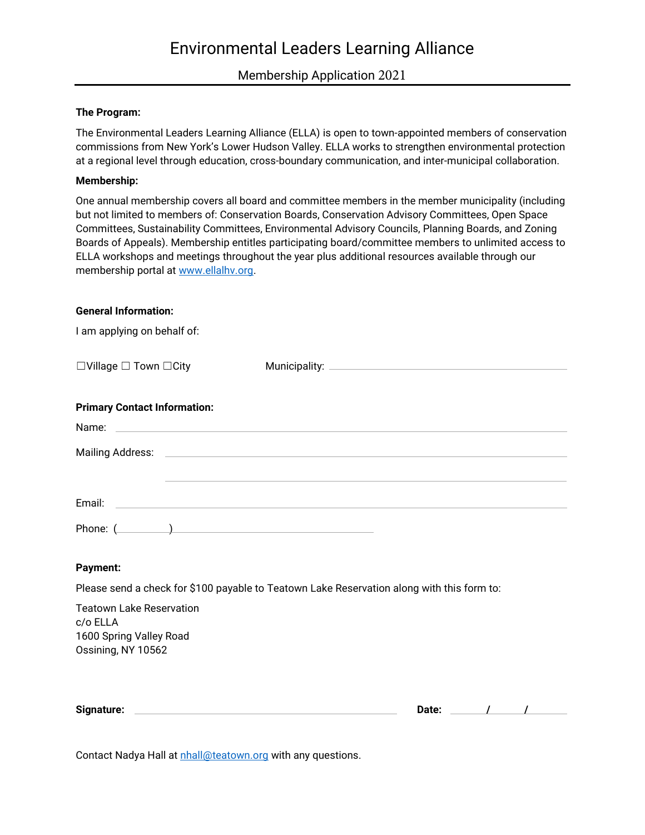# Environmental Leaders Learning Alliance

Membership Application 2021

## **The Program:**

The Environmental Leaders Learning Alliance (ELLA) is open to town-appointed members of conservation commissions from New York's Lower Hudson Valley. ELLA works to strengthen environmental protection at a regional level through education, cross-boundary communication, and inter-municipal collaboration.

## **Membership:**

One annual membership covers all board and committee members in the member municipality (including but not limited to members of: Conservation Boards, Conservation Advisory Committees, Open Space Committees, Sustainability Committees, Environmental Advisory Councils, Planning Boards, and Zoning Boards of Appeals). Membership entitles participating board/committee members to unlimited access to ELLA workshops and meetings throughout the year plus additional resources available through our membership portal at [www.ellalhv.org.](http://www.ellalhv.org/)

#### **General Information:**

| I am applying on behalf of:                                                             |                                                                                                                                                                                                                                                                                                                                                                |
|-----------------------------------------------------------------------------------------|----------------------------------------------------------------------------------------------------------------------------------------------------------------------------------------------------------------------------------------------------------------------------------------------------------------------------------------------------------------|
| $\Box$ Village $\Box$ Town $\Box$ City                                                  |                                                                                                                                                                                                                                                                                                                                                                |
| <b>Primary Contact Information:</b>                                                     | Name: Name: Name: Name: Name: Name: Name: Name: Name: Name: Name: Name: Name: Name: Name: Name: Name: Name: Name: Name: Name: Name: Name: Name: Name: Name: Name: Name: Name: Name: Name: Name: Name: Name: Name: Name: Name:                                                                                                                                  |
|                                                                                         |                                                                                                                                                                                                                                                                                                                                                                |
|                                                                                         | <u>and the second control of the second control of the second control of the second control of the second control of the second control of the second control of the second control of the second control of the second control </u><br>Email: <u>Alexander Alexander Alexander Alexander Alexander Alexander Alexander Alexander Alexander Alexander Alex</u> |
| <b>Payment:</b>                                                                         | Phone: $($ and $)$ and $($ and $)$ and $($ and $)$ and $($ and $)$ and $($ and $)$ and $($ and $)$ and $($ and $)$ and $($ and $)$ and $($ and $)$ and $($ and $)$ and $($ and $)$ and $($ and $)$ and $($ and $)$ and $($ an                                                                                                                                  |
|                                                                                         | Please send a check for \$100 payable to Teatown Lake Reservation along with this form to:                                                                                                                                                                                                                                                                     |
| <b>Teatown Lake Reservation</b><br>c/o ELLA<br>1600 $O_{\text{m}}$ die a Mallant Daniel |                                                                                                                                                                                                                                                                                                                                                                |

1600 Spring Valley Road Ossining, NY 10562

**Signature:** 2008. 2009. 2010. 2010. 2010. 2010. 2010. 2010. 2010. 2010. 2010. 2010. 2010. 2010. 2010. 2010. 2010. 2010. 2010. 2010. 2010. 2010. 2010. 2010. 2010. 2010. 2010. 2010. 2010. 2010. 2010. 2010. 2010. 2010. 2010.

Contact Nadya Hall at [nhall@teatown.org](mailto:nhall@teatown.org) with any questions.